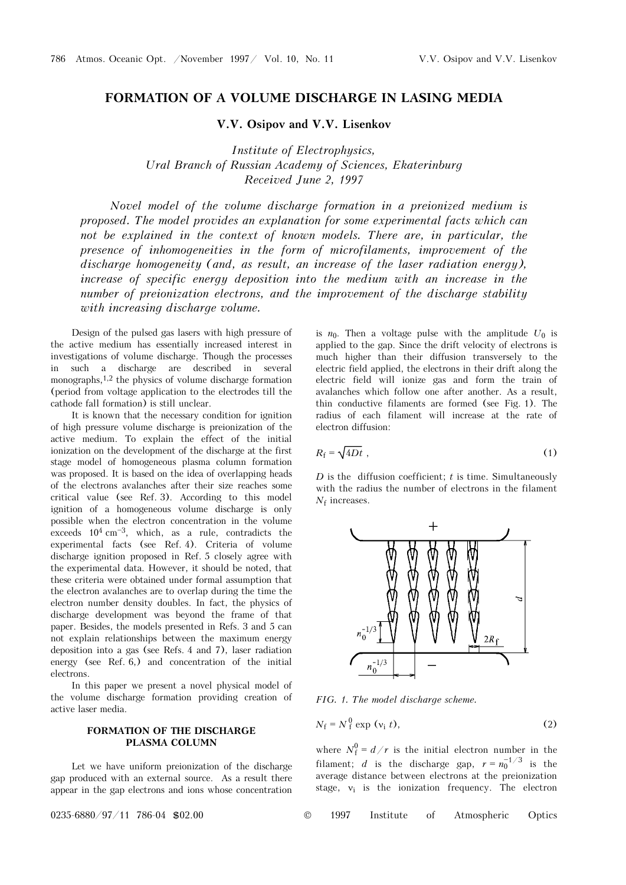## **FORMATION OF A VOLUME DISCHARGE IN LASING MEDIA**

**V.V. Osipov and V.V. Lisenkov** 

*Institute of Electrophysics, Ural Branch of Russian Academy of Sciences, Ekaterinburg Received June 2, 1997* 

*Novel model of the volume discharge formation in a preionized medium is proposed. The model provides an explanation for some experimental facts which can*  not be explained in the context of known models. There are, in particular, the *presence of inhomogeneities in the form of microfilaments, improvement of the discharge homogeneity (and, as result, an increase of the laser radiation energy), increase of specific energy deposition into the medium with an increase in the number of preionization electrons, and the improvement of the discharge stability with increasing discharge volume.* 

Design of the pulsed gas lasers with high pressure of the active medium has essentially increased interest in investigations of volume discharge. Though the processes in such a discharge are described in several monographs,1,2 the physics of volume discharge formation (period from voltage application to the electrodes till the cathode fall formation) is still unclear.

It is known that the necessary condition for ignition of high pressure volume discharge is preionization of the active medium. To explain the effect of the initial ionization on the development of the discharge at the first stage model of homogeneous plasma column formation was proposed. It is based on the idea of overlapping heads of the electrons avalanches after their size reaches some critical value (see Ref. 3). According to this model ignition of a homogeneous volume discharge is only possible when the electron concentration in the volume exceeds  $10^4$  cm<sup>-3</sup>, which, as a rule, contradicts the experimental facts (see Ref. 4). Criteria of volume discharge ignition proposed in Ref. 5 closely agree with the experimental data. However, it should be noted, that these criteria were obtained under formal assumption that the electron avalanches are to overlap during the time the electron number density doubles. In fact, the physics of discharge development was beyond the frame of that paper. Besides, the models presented in Refs. 3 and 5 can not explain relationships between the maximum energy deposition into a gas (see Refs. 4 and 7), laser radiation energy (see Ref. 6,) and concentration of the initial electrons.

In this paper we present a novel physical model of the volume discharge formation providing creation of active laser media.

## **FORMATION OF THE DISCHARGE PLASMA COLUMN**

Let we have uniform preionization of the discharge gap produced with an external source. As a result there appear in the gap electrons and ions whose concentration

is  $n_0$ . Then a voltage pulse with the amplitude  $U_0$  is applied to the gap. Since the drift velocity of electrons is much higher than their diffusion transversely to the electric field applied, the electrons in their drift along the electric field will ionize gas and form the train of avalanches which follow one after another. As a result, thin conductive filaments are formed (see Fig. 1). The radius of each filament will increase at the rate of electron diffusion:

$$
R_{\rm f} = \sqrt{4Dt} \tag{1}
$$

*D* is the diffusion coefficient; *t* is time. Simultaneously with the radius the number of electrons in the filament  $N_f$  increases.



*FIG. 1. The model discharge scheme.* 

$$
N_{\rm f} = N_{\rm f}^0 \exp\left(v_{\rm i} \, t\right),\tag{2}
$$

where  $N_f^0 = d/r$  is the initial electron number in the filament; *d* is the discharge gap,  $r = n_0^{-1/3}$  is the average distance between electrons at the preionization stage,  $v_i$  is the ionization frequency. The electron

0235-6880/97/11 786-04 \$02.00 © 1997 Institute of Atmospheric Optics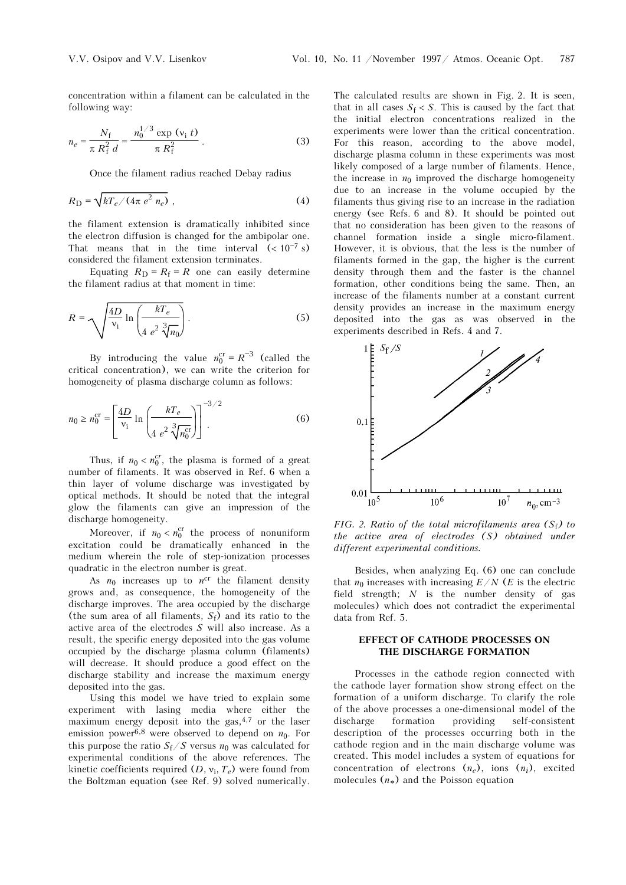concentration within a filament can be calculated in the following way:

$$
n_e = \frac{N_{\rm f}}{\pi R_{\rm f}^2 d} = \frac{n_0^{1/3} \exp{(v_{\rm i} t)}}{\pi R_{\rm f}^2} \,. \tag{3}
$$

Once the filament radius reached Debay radius

$$
R_{\rm D} = \sqrt{kT_e / (4\pi \, e^2 \, n_e)} \tag{4}
$$

the filament extension is dramatically inhibited since the electron diffusion is changed for the ambipolar one. That means that in the time interval  $( $10^{-7}$  s)$ considered the filament extension terminates.

Equating  $R_D = R_f = R$  one can easily determine the filament radius at that moment in time:

$$
R = \sqrt{\frac{4D}{v_i} \ln \left( \frac{kT_e}{4 e^2 \sqrt[3]{n_0}} \right)}.
$$
 (5)

By introducing the value  $n_0^{\text{cr}} = R^{-3}$  (called the critical concentration), we can write the criterion for homogeneity of plasma discharge column as follows:

$$
n_0 \ge n_0^{\text{cr}} = \left[ \frac{4D}{v_1} \ln \left( \frac{kT_e}{4 e^2 \sqrt[3]{n_0^{\text{cr}}}} \right) \right]^{-3/2}.
$$
 (6)

Thus, if  $n_0 < n_0^{cr}$ , the plasma is formed of a great number of filaments. It was observed in Ref. 6 when a thin layer of volume discharge was investigated by optical methods. It should be noted that the integral glow the filaments can give an impression of the discharge homogeneity.

Moreover, if  $n_0 < n_0^{\text{cr}}$  the process of nonuniform excitation could be dramatically enhanced in the medium wherein the role of step-ionization processes quadratic in the electron number is great.

As  $n_0$  increases up to  $n^{cr}$  the filament density grows and, as consequence, the homogeneity of the discharge improves. The area occupied by the discharge (the sum area of all filaments,  $S_f$ ) and its ratio to the active area of the electrodes *S* will also increase. As a result, the specific energy deposited into the gas volume occupied by the discharge plasma column (filaments) will decrease. It should produce a good effect on the discharge stability and increase the maximum energy deposited into the gas.

Using this model we have tried to explain some experiment with lasing media where either the maximum energy deposit into the gas, $4,7$  or the laser emission power<sup>6,8</sup> were observed to depend on  $n_0$ . For this purpose the ratio  $S_f/S$  versus  $n_0$  was calculated for experimental conditions of the above references. The kinetic coefficients required  $(D, v_i, T_e)$  were found from the Boltzman equation (see Ref. 9) solved numerically.

The calculated results are shown in Fig. 2. It is seen, that in all cases  $S_f < S$ . This is caused by the fact that the initial electron concentrations realized in the experiments were lower than the critical concentration. For this reason, according to the above model, discharge plasma column in these experiments was most likely composed of a large number of filaments. Hence, the increase in  $n_0$  improved the discharge homogeneity due to an increase in the volume occupied by the filaments thus giving rise to an increase in the radiation energy (see Refs. 6 and 8). It should be pointed out that no consideration has been given to the reasons of channel formation inside a single micro-filament. However, it is obvious, that the less is the number of filaments formed in the gap, the higher is the current density through them and the faster is the channel formation, other conditions being the same. Then, an increase of the filaments number at a constant current density provides an increase in the maximum energy deposited into the gas as was observed in the experiments described in Refs. 4 and 7.



*FIG. 2. Ratio of the total microfilaments area (S*f*) to the active area of electrodes (S) obtained under different experimental conditions.* 

Besides, when analyzing Eq. (6) one can conclude that  $n_0$  increases with increasing  $E/N$  (*E* is the electric field strength; *N* is the number density of gas molecules) which does not contradict the experimental data from Ref. 5.

## **EFFECT OF CATHODE PROCESSES ON THE DISCHARGE FORMATION**

Processes in the cathode region connected with the cathode layer formation show strong effect on the formation of a uniform discharge. To clarify the role of the above processes a one-dimensional model of the discharge formation providing self-consistent description of the processes occurring both in the cathode region and in the main discharge volume was created. This model includes a system of equations for concentration of electrons  $(n_e)$ , ions  $(n_i)$ , excited molecules  $(n_*)$  and the Poisson equation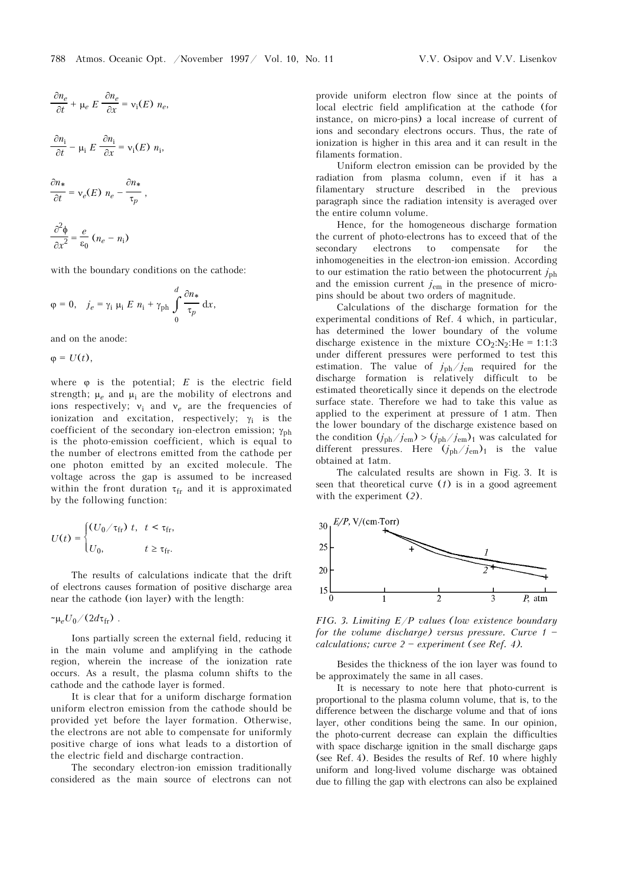$$
\frac{\partial n_e}{\partial t} + \mu_e E \frac{\partial n_e}{\partial x} = v_i(E) n_e,
$$
  

$$
\frac{\partial n_i}{\partial t} - \mu_i E \frac{\partial n_i}{\partial x} = v_i(E) n_i,
$$

$$
\frac{\partial n_*}{\partial t} = \mathsf{v}_e(E) n_e - \frac{\partial n_*}{\tau_p},
$$

$$
\frac{\partial^2 \phi}{\partial x^2} = \frac{e}{\varepsilon_0} (n_e - n_i)
$$

with the boundary conditions on the cathode:

$$
\varphi = 0, \quad j_e = \gamma_i \mu_i E n_i + \gamma_{\text{ph}} \int_0^d \frac{\partial n_*}{\tau_p} dx,
$$

and on the anode:

 $\varphi = U(t),$ 

where  $\varphi$  is the potential;  $E$  is the electric field strength;  $\mu_e$  and  $\mu_i$  are the mobility of electrons and ions respectively;  $ν_i$  and  $ν_e$  are the frequencies of ionization and excitation, respectively;  $\gamma_i$  is the coefficient of the secondary ion-electron emission;  $\gamma_{\text{ph}}$ is the photo-emission coefficient, which is equal to the number of electrons emitted from the cathode per one photon emitted by an excited molecule. The voltage across the gap is assumed to be increased within the front duration  $\tau_{fr}$  and it is approximated by the following function:

$$
U(t) = \begin{cases} (U_0 / \tau_{\text{fr}}) \ t, & t < \tau_{\text{fr}}, \\ U_0, & t \ge \tau_{\text{fr}}. \end{cases}
$$

The results of calculations indicate that the drift of electrons causes formation of positive discharge area near the cathode (ion layer) with the length:

 $\sim \mu_e U_0/(2d\tau_{\rm fr})$ .

Ions partially screen the external field, reducing it in the main volume and amplifying in the cathode region, wherein the increase of the ionization rate occurs. As a result, the plasma column shifts to the cathode and the cathode layer is formed.

It is clear that for a uniform discharge formation uniform electron emission from the cathode should be provided yet before the layer formation. Otherwise, the electrons are not able to compensate for uniformly positive charge of ions what leads to a distortion of the electric field and discharge contraction.

The secondary electron-ion emission traditionally considered as the main source of electrons can not provide uniform electron flow since at the points of local electric field amplification at the cathode (for instance, on micro-pins) a local increase of current of ions and secondary electrons occurs. Thus, the rate of ionization is higher in this area and it can result in the filaments formation.

Uniform electron emission can be provided by the radiation from plasma column, even if it has a filamentary structure described in the previous paragraph since the radiation intensity is averaged over the entire column volume.

Hence, for the homogeneous discharge formation the current of photo-electrons has to exceed that of the secondary electrons to compensate for the inhomogeneities in the electron-ion emission. According to our estimation the ratio between the photocurrent  $j_{\text{ph}}$ and the emission current  $j_{em}$  in the presence of micropins should be about two orders of magnitude.

Calculations of the discharge formation for the experimental conditions of Ref. 4 which, in particular, has determined the lower boundary of the volume discharge existence in the mixture  $CO_2:N_2:H = 1:1:3$ under different pressures were performed to test this estimation. The value of *j*ph/*j*em required for the discharge formation is relatively difficult to be estimated theoretically since it depends on the electrode surface state. Therefore we had to take this value as applied to the experiment at pressure of 1 atm. Then the lower boundary of the discharge existence based on the condition  $(j_{ph}/j_{em})$  >  $(j_{ph}/j_{em})$ <sub>1</sub> was calculated for different pressures. Here  $(j_{ph}/j_{em})$ <sub>1</sub> is the value obtained at 1atm.

The calculated results are shown in Fig. 3. It is seen that theoretical curve (*1*) is in a good agreement with the experiment (*2*).



*FIG. 3. Limiting E/P values (low existence boundary for the volume discharge) versus pressure. Curve 1*  $$ *calculations; curve*  $2$  *– experiment (see Ref. 4).* 

Besides the thickness of the ion layer was found to be approximately the same in all cases.

It is necessary to note here that photo-current is proportional to the plasma column volume, that is, to the difference between the discharge volume and that of ions layer, other conditions being the same. In our opinion, the photo-current decrease can explain the difficulties with space discharge ignition in the small discharge gaps (see Ref. 4). Besides the results of Ref. 10 where highly uniform and long-lived volume discharge was obtained due to filling the gap with electrons can also be explained